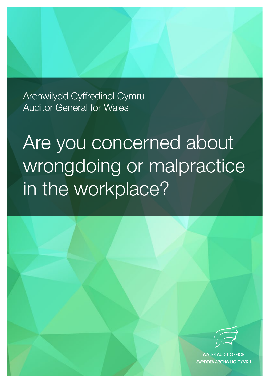Archwilydd Cyffredinol Cymru Auditor General for Wales

# Are you concerned about wrongdoing or malpractice in the workplace?



**WALES AUDIT OFFICE** SWYDDFA ARCHWILIO CYMRU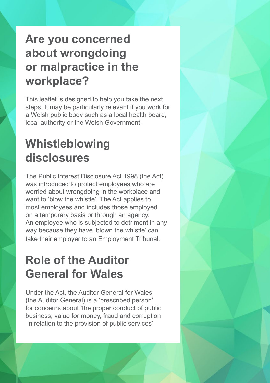## **Are you concerned about wrongdoing or malpractice in the workplace?**

This leaflet is designed to help you take the next steps. It may be particularly relevant if you work for a Welsh public body such as a local health board, local authority or the Welsh Government.

# **Whistleblowing disclosures**

The Public Interest Disclosure Act 1998 (the Act) was introduced to protect employees who are worried about wrongdoing in the workplace and want to 'blow the whistle'. The Act applies to most employees and includes those employed on a temporary basis or through an agency. An employee who is subjected to detriment in any way because they have 'blown the whistle' can take their employer to an Employment Tribunal.

# **Role of the Auditor General for Wales**

Under the Act, the Auditor General for Wales (the Auditor General) is a 'prescribed person' for concerns about 'the proper conduct of public business; value for money, fraud and corruption in relation to the provision of public services'.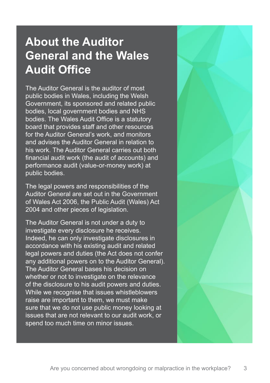## **About the Auditor General and the Wales Audit Office**

The Auditor General is the auditor of most public bodies in Wales, including the Welsh Government, its sponsored and related public bodies, local government bodies and NHS bodies. The Wales Audit Office is a statutory board that provides staff and other resources for the Auditor General's work, and monitors and advises the Auditor General in relation to his work. The Auditor General carries out both financial audit work (the audit of accounts) and performance audit (value-or-money work) at public bodies.

The legal powers and responsibilities of the Auditor General are set out in the Government of Wales Act 2006, the Public Audit (Wales) Act 2004 and other pieces of legislation.

The Auditor General is not under a duty to investigate every disclosure he receives. Indeed, he can only investigate disclosures in accordance with his existing audit and related legal powers and duties (the Act does not confer any additional powers on to the Auditor General). The Auditor General bases his decision on whether or not to investigate on the relevance of the disclosure to his audit powers and duties. While we recognise that issues whistleblowers raise are important to them, we must make sure that we do not use public money looking at issues that are not relevant to our audit work, or spend too much time on minor issues.

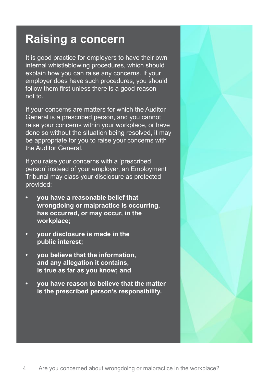#### **Raising a concern**

It is good practice for employers to have their own internal whistleblowing procedures, which should explain how you can raise any concerns. If your employer does have such procedures, you should follow them first unless there is a good reason not to.

If your concerns are matters for which the Auditor General is a prescribed person, and you cannot raise your concerns within your workplace, or have done so without the situation being resolved, it may be appropriate for you to raise your concerns with the Auditor General.

If you raise your concerns with a 'prescribed person' instead of your employer, an Employment Tribunal may class your disclosure as protected provided:

- **• you have a reasonable belief that wrongdoing or malpractice is occurring, has occurred, or may occur, in the workplace;**
- **• your disclosure is made in the public interest;**
- **• you believe that the information, and any allegation it contains, is true as far as you know; and**
- **• you have reason to believe that the matter is the prescribed person's responsibility.**

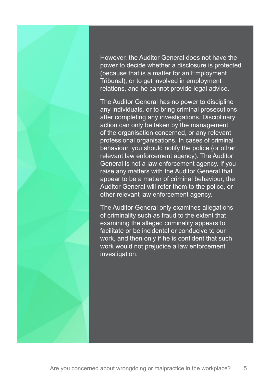However, the Auditor General does not have the power to decide whether a disclosure is protected (because that is a matter for an Employment Tribunal), or to get involved in employment relations, and he cannot provide legal advice.

The Auditor General has no power to discipline any individuals, or to bring criminal prosecutions after completing any investigations. Disciplinary action can only be taken by the management of the organisation concerned, or any relevant professional organisations. In cases of criminal behaviour, you should notify the police (or other relevant law enforcement agency). The Auditor General is not a law enforcement agency. If you raise any matters with the Auditor General that appear to be a matter of criminal behaviour, the Auditor General will refer them to the police, or other relevant law enforcement agency.

The Auditor General only examines allegations of criminality such as fraud to the extent that examining the alleged criminality appears to facilitate or be incidental or conducive to our work, and then only if he is confident that such work would not prejudice a law enforcement investigation.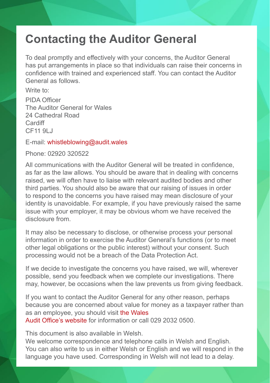### **Contacting the Auditor General**

To deal promptly and effectively with your concerns, the Auditor General has put arrangements in place so that individuals can raise their concerns in confidence with trained and experienced staff. You can contact the Auditor General as follows.

Write to:

PIDA Officer The Auditor General for Wales 24 Cathedral Road Cardiff CF11 9LJ

E-mail: whistleblowing@audit.wales

Phone: 02920 320522

All communications with the Auditor General will be treated in confidence, as far as the law allows. You should be aware that in dealing with concerns raised, we will often have to liaise with relevant audited bodies and other third parties. You should also be aware that our raising of issues in order to respond to the concerns you have raised may mean disclosure of your identity is unavoidable. For example, if you have previously raised the same issue with your employer, it may be obvious whom we have received the disclosure from.

It may also be necessary to disclose, or otherwise process your personal information in order to exercise the Auditor General's functions (or to meet other legal obligations or the public interest) without your consent. Such processing would not be a breach of the Data Protection Act.

If we decide to investigate the concerns you have raised, we will, wherever possible, send you feedback when we complete our investigations. There may, however, be occasions when the law prevents us from giving feedback.

If you want to contact the Auditor General for any other reason, perhaps because you are concerned about value for money as a taxpayer rather than as an employee, you should visit [the Wales](http://www.audit.wales/contact-us)  [Audit Office's website](http://www.audit.wales/contact-us) for information or call 029 2032 0500.

This document is also available in Welsh.

We welcome correspondence and telephone calls in Welsh and English. You can also write to us in either Welsh or English and we will respond in the language you have used. Corresponding in Welsh will not lead to a delay.

6 Are you concerned about wrongdoing or malpractice in the workplace?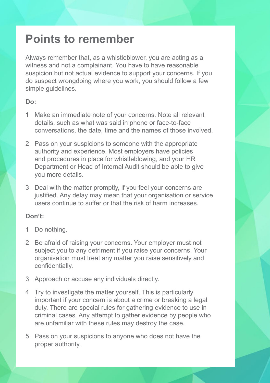#### **Points to remember**

Always remember that, as a whistleblower, you are acting as a witness and not a complainant. You have to have reasonable suspicion but not actual evidence to support your concerns. If you do suspect wrongdoing where you work, you should follow a few simple guidelines.

#### **Do:**

- 1 Make an immediate note of your concerns. Note all relevant details, such as what was said in phone or face-to-face conversations, the date, time and the names of those involved.
- 2 Pass on your suspicions to someone with the appropriate authority and experience. Most employers have policies and procedures in place for whistleblowing, and your HR Department or Head of Internal Audit should be able to give you more details.
- 3 Deal with the matter promptly, if you feel your concerns are justified. Any delay may mean that your organisation or service users continue to suffer or that the risk of harm increases.

#### **Don't:**

- 1 Do nothing.
- 2 Be afraid of raising your concerns. Your employer must not subject you to any detriment if you raise your concerns. Your organisation must treat any matter you raise sensitively and confidentially.
- 3 Approach or accuse any individuals directly.
- 4 Try to investigate the matter yourself. This is particularly important if your concern is about a crime or breaking a legal duty. There are special rules for gathering evidence to use in criminal cases. Any attempt to gather evidence by people who are unfamiliar with these rules may destroy the case.
- 5 Pass on your suspicions to anyone who does not have the proper authority.

Are you concerned about wrong doing or  $\mathcal{A}$  . The workplace in the work place is the work